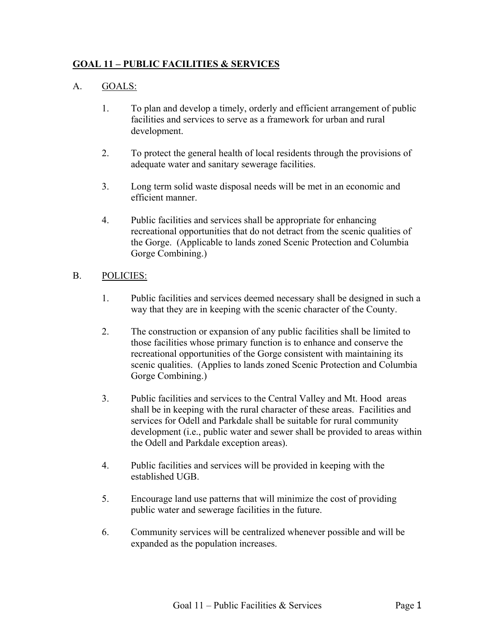## **GOAL 11 – PUBLIC FACILITIES & SERVICES**

## A. GOALS:

- 1. To plan and develop a timely, orderly and efficient arrangement of public facilities and services to serve as a framework for urban and rural development.
- 2. To protect the general health of local residents through the provisions of adequate water and sanitary sewerage facilities.
- 3. Long term solid waste disposal needs will be met in an economic and efficient manner.
- 4. Public facilities and services shall be appropriate for enhancing recreational opportunities that do not detract from the scenic qualities of the Gorge. (Applicable to lands zoned Scenic Protection and Columbia Gorge Combining.)

## B. POLICIES:

- 1. Public facilities and services deemed necessary shall be designed in such a way that they are in keeping with the scenic character of the County.
- 2. The construction or expansion of any public facilities shall be limited to those facilities whose primary function is to enhance and conserve the recreational opportunities of the Gorge consistent with maintaining its scenic qualities. (Applies to lands zoned Scenic Protection and Columbia Gorge Combining.)
- 3. Public facilities and services to the Central Valley and Mt. Hood areas shall be in keeping with the rural character of these areas. Facilities and services for Odell and Parkdale shall be suitable for rural community development (i.e., public water and sewer shall be provided to areas within the Odell and Parkdale exception areas).
- 4. Public facilities and services will be provided in keeping with the established UGB.
- 5. Encourage land use patterns that will minimize the cost of providing public water and sewerage facilities in the future.
- 6. Community services will be centralized whenever possible and will be expanded as the population increases.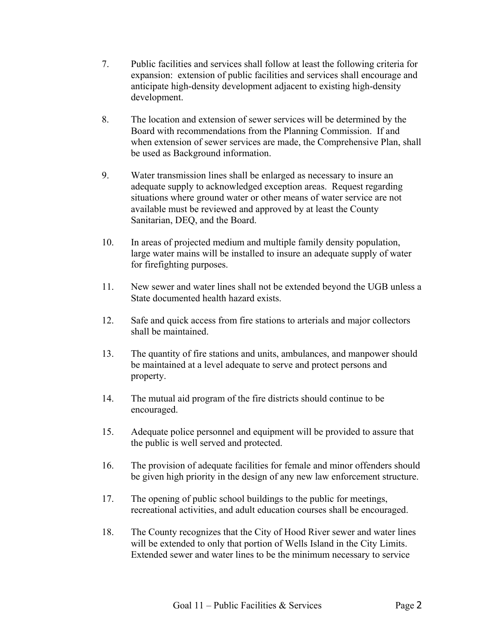- 7. Public facilities and services shall follow at least the following criteria for expansion: extension of public facilities and services shall encourage and anticipate high-density development adjacent to existing high-density development.
- 8. The location and extension of sewer services will be determined by the Board with recommendations from the Planning Commission. If and when extension of sewer services are made, the Comprehensive Plan, shall be used as Background information.
- 9. Water transmission lines shall be enlarged as necessary to insure an adequate supply to acknowledged exception areas. Request regarding situations where ground water or other means of water service are not available must be reviewed and approved by at least the County Sanitarian, DEQ, and the Board.
- 10. In areas of projected medium and multiple family density population, large water mains will be installed to insure an adequate supply of water for firefighting purposes.
- 11. New sewer and water lines shall not be extended beyond the UGB unless a State documented health hazard exists.
- 12. Safe and quick access from fire stations to arterials and major collectors shall be maintained.
- 13. The quantity of fire stations and units, ambulances, and manpower should be maintained at a level adequate to serve and protect persons and property.
- 14. The mutual aid program of the fire districts should continue to be encouraged.
- 15. Adequate police personnel and equipment will be provided to assure that the public is well served and protected.
- 16. The provision of adequate facilities for female and minor offenders should be given high priority in the design of any new law enforcement structure.
- 17. The opening of public school buildings to the public for meetings, recreational activities, and adult education courses shall be encouraged.
- 18. The County recognizes that the City of Hood River sewer and water lines will be extended to only that portion of Wells Island in the City Limits. Extended sewer and water lines to be the minimum necessary to service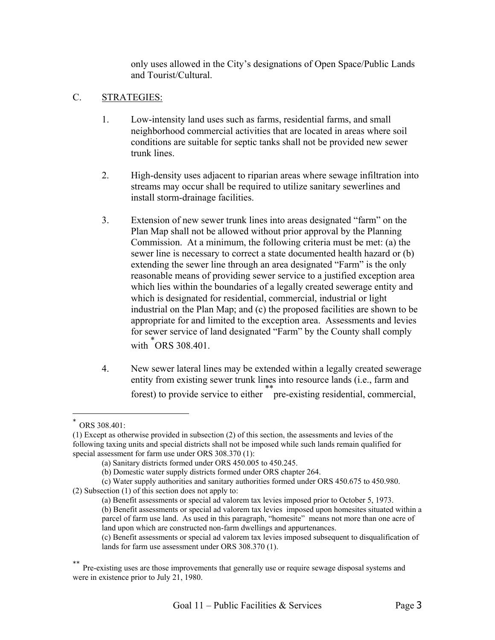only uses allowed in the City's designations of Open Space/Public Lands and Tourist/Cultural.

## C. STRATEGIES:

- 1. Low-intensity land uses such as farms, residential farms, and small neighborhood commercial activities that are located in areas where soil conditions are suitable for septic tanks shall not be provided new sewer trunk lines.
- 2. High-density uses adjacent to riparian areas where sewage infiltration into streams may occur shall be required to utilize sanitary sewerlines and install storm-drainage facilities.
- 3. Extension of new sewer trunk lines into areas designated "farm" on the Plan Map shall not be allowed without prior approval by the Planning Commission. At a minimum, the following criteria must be met: (a) the sewer line is necessary to correct a state documented health hazard or (b) extending the sewer line through an area designated "Farm" is the only reasonable means of providing sewer service to a justified exception area which lies within the boundaries of a legally created sewerage entity and which is designated for residential, commercial, industrial or light industrial on the Plan Map; and (c) the proposed facilities are shown to be appropriate for and limited to the exception area. Assessments and levies for sewer service of land designated "Farm" by the County shall comply with  $*$  ORS 308.401.
- 4. New sewer lateral lines may be extended within a legally created sewerage entity from existing sewer trunk lines into resource lands (i.e., farm and forest) to provide service to either [\\*\\*p](#page-2-1)re-existing residential, commercial,

<span id="page-2-0"></span>ORS 308.401:

<sup>(1)</sup> Except as otherwise provided in subsection (2) of this section, the assessments and levies of the following taxing units and special districts shall not be imposed while such lands remain qualified for special assessment for farm use under ORS 308.370 (1):

<sup>(</sup>a) Sanitary districts formed under ORS 450.005 to 450.245.

<sup>(</sup>b) Domestic water supply districts formed under ORS chapter 264.

<sup>(</sup>c) Water supply authorities and sanitary authorities formed under ORS 450.675 to 450.980. (2) Subsection (1) of this section does not apply to:

<sup>(</sup>a) Benefit assessments or special ad valorem tax levies imposed prior to October 5, 1973. (b) Benefit assessments or special ad valorem tax levies imposed upon homesites situated within a parcel of farm use land. As used in this paragraph, "homesite" means not more than one acre of land upon which are constructed non-farm dwellings and appurtenances.

<sup>(</sup>c) Benefit assessments or special ad valorem tax levies imposed subsequent to disqualification of lands for farm use assessment under ORS 308.370 (1).

<span id="page-2-1"></span>Pre-existing uses are those improvements that generally use or require sewage disposal systems and were in existence prior to July 21, 1980.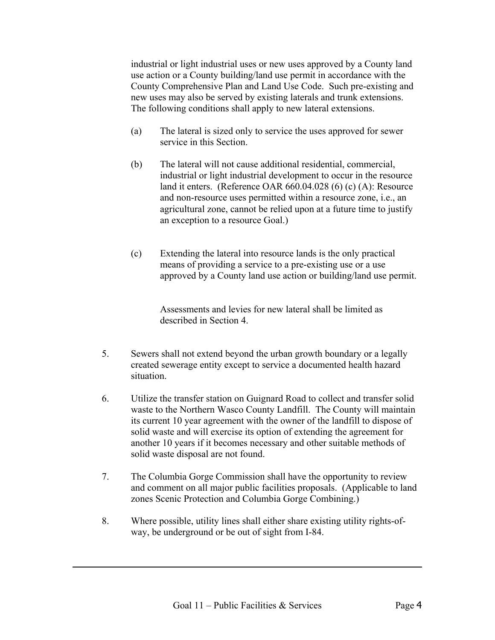industrial or light industrial uses or new uses approved by a County land use action or a County building/land use permit in accordance with the County Comprehensive Plan and Land Use Code. Such pre-existing and new uses may also be served by existing laterals and trunk extensions. The following conditions shall apply to new lateral extensions.

- (a) The lateral is sized only to service the uses approved for sewer service in this Section.
- (b) The lateral will not cause additional residential, commercial, industrial or light industrial development to occur in the resource land it enters. (Reference OAR 660.04.028 (6) (c) (A): Resource and non-resource uses permitted within a resource zone, i.e., an agricultural zone, cannot be relied upon at a future time to justify an exception to a resource Goal.)
- (c) Extending the lateral into resource lands is the only practical means of providing a service to a pre-existing use or a use approved by a County land use action or building/land use permit.

Assessments and levies for new lateral shall be limited as described in Section 4.

- 5. Sewers shall not extend beyond the urban growth boundary or a legally created sewerage entity except to service a documented health hazard situation.
- 6. Utilize the transfer station on Guignard Road to collect and transfer solid waste to the Northern Wasco County Landfill. The County will maintain its current 10 year agreement with the owner of the landfill to dispose of solid waste and will exercise its option of extending the agreement for another 10 years if it becomes necessary and other suitable methods of solid waste disposal are not found.
- 7. The Columbia Gorge Commission shall have the opportunity to review and comment on all major public facilities proposals. (Applicable to land zones Scenic Protection and Columbia Gorge Combining.)
- 8. Where possible, utility lines shall either share existing utility rights-ofway, be underground or be out of sight from I-84.

-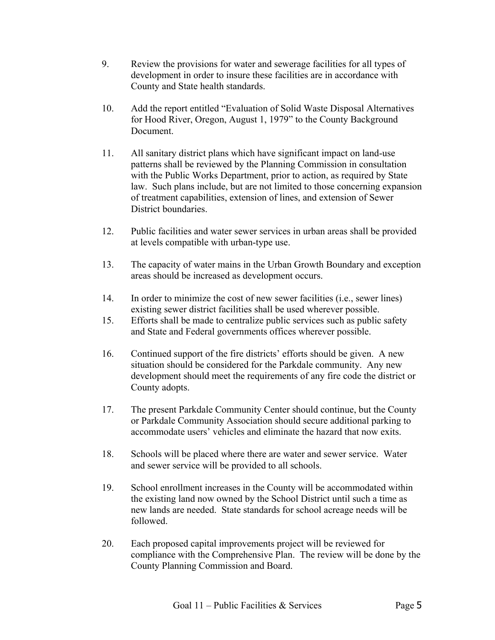- 9. Review the provisions for water and sewerage facilities for all types of development in order to insure these facilities are in accordance with County and State health standards.
- 10. Add the report entitled "Evaluation of Solid Waste Disposal Alternatives for Hood River, Oregon, August 1, 1979" to the County Background Document.
- 11. All sanitary district plans which have significant impact on land-use patterns shall be reviewed by the Planning Commission in consultation with the Public Works Department, prior to action, as required by State law. Such plans include, but are not limited to those concerning expansion of treatment capabilities, extension of lines, and extension of Sewer District boundaries.
- 12. Public facilities and water sewer services in urban areas shall be provided at levels compatible with urban-type use.
- 13. The capacity of water mains in the Urban Growth Boundary and exception areas should be increased as development occurs.
- 14. In order to minimize the cost of new sewer facilities (i.e., sewer lines) existing sewer district facilities shall be used wherever possible.
- 15. Efforts shall be made to centralize public services such as public safety and State and Federal governments offices wherever possible.
- 16. Continued support of the fire districts' efforts should be given. A new situation should be considered for the Parkdale community. Any new development should meet the requirements of any fire code the district or County adopts.
- 17. The present Parkdale Community Center should continue, but the County or Parkdale Community Association should secure additional parking to accommodate users' vehicles and eliminate the hazard that now exits.
- 18. Schools will be placed where there are water and sewer service. Water and sewer service will be provided to all schools.
- 19. School enrollment increases in the County will be accommodated within the existing land now owned by the School District until such a time as new lands are needed. State standards for school acreage needs will be followed.
- 20. Each proposed capital improvements project will be reviewed for compliance with the Comprehensive Plan. The review will be done by the County Planning Commission and Board.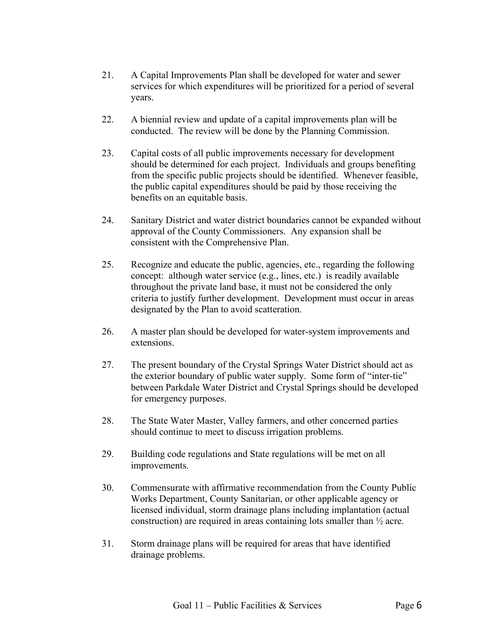- 21. A Capital Improvements Plan shall be developed for water and sewer services for which expenditures will be prioritized for a period of several years.
- 22. A biennial review and update of a capital improvements plan will be conducted. The review will be done by the Planning Commission.
- 23. Capital costs of all public improvements necessary for development should be determined for each project. Individuals and groups benefiting from the specific public projects should be identified. Whenever feasible, the public capital expenditures should be paid by those receiving the benefits on an equitable basis.
- 24. Sanitary District and water district boundaries cannot be expanded without approval of the County Commissioners. Any expansion shall be consistent with the Comprehensive Plan.
- 25. Recognize and educate the public, agencies, etc., regarding the following concept: although water service (e.g., lines, etc.) is readily available throughout the private land base, it must not be considered the only criteria to justify further development. Development must occur in areas designated by the Plan to avoid scatteration.
- 26. A master plan should be developed for water-system improvements and extensions.
- 27. The present boundary of the Crystal Springs Water District should act as the exterior boundary of public water supply. Some form of "inter-tie" between Parkdale Water District and Crystal Springs should be developed for emergency purposes.
- 28. The State Water Master, Valley farmers, and other concerned parties should continue to meet to discuss irrigation problems.
- 29. Building code regulations and State regulations will be met on all improvements.
- 30. Commensurate with affirmative recommendation from the County Public Works Department, County Sanitarian, or other applicable agency or licensed individual, storm drainage plans including implantation (actual construction) are required in areas containing lots smaller than ½ acre.
- 31. Storm drainage plans will be required for areas that have identified drainage problems.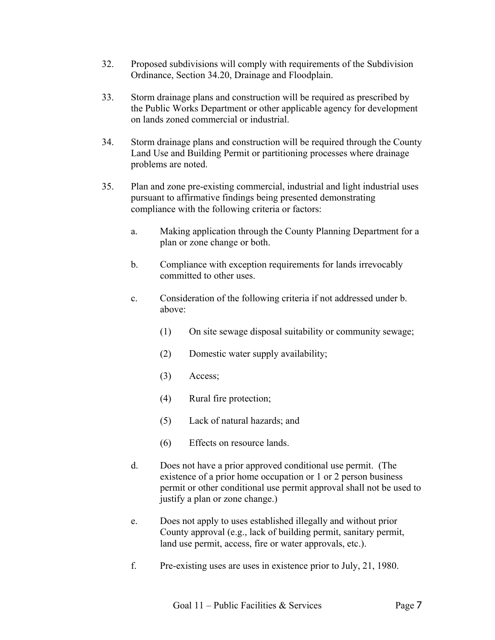- 32. Proposed subdivisions will comply with requirements of the Subdivision Ordinance, Section 34.20, Drainage and Floodplain.
- 33. Storm drainage plans and construction will be required as prescribed by the Public Works Department or other applicable agency for development on lands zoned commercial or industrial.
- 34. Storm drainage plans and construction will be required through the County Land Use and Building Permit or partitioning processes where drainage problems are noted.
- 35. Plan and zone pre-existing commercial, industrial and light industrial uses pursuant to affirmative findings being presented demonstrating compliance with the following criteria or factors:
	- a. Making application through the County Planning Department for a plan or zone change or both.
	- b. Compliance with exception requirements for lands irrevocably committed to other uses.
	- c. Consideration of the following criteria if not addressed under b. above:
		- (1) On site sewage disposal suitability or community sewage;
		- (2) Domestic water supply availability;
		- (3) Access;
		- (4) Rural fire protection;
		- (5) Lack of natural hazards; and
		- (6) Effects on resource lands.
	- d. Does not have a prior approved conditional use permit. (The existence of a prior home occupation or 1 or 2 person business permit or other conditional use permit approval shall not be used to justify a plan or zone change.)
	- e. Does not apply to uses established illegally and without prior County approval (e.g., lack of building permit, sanitary permit, land use permit, access, fire or water approvals, etc.).
	- f. Pre-existing uses are uses in existence prior to July, 21, 1980.